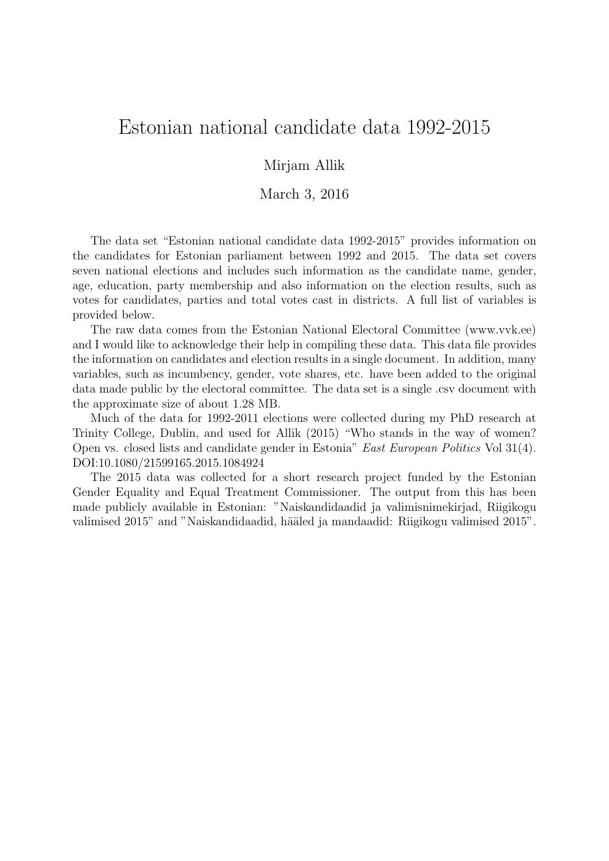## Estonian national candidate data 1992-2015

## Mirjam Allik

March 3, 2016

The data set "Estonian national candidate data 1992-2015" provides information on the candidates for Estonian parliament between 1992 and 2015. The data set covers seven national elections and includes such information as the candidate name, gender, age, education, party membership and also information on the election results, such as votes for candidates, parties and total votes cast in districts. A full list of variables is provided below.

The raw data comes from the Estonian National Electoral Committee (www.vvk.ee) and I would like to acknowledge their help in compiling these data. This data file provides the information on candidates and election results in a single document. In addition, many variables, such as incumbency, gender, vote shares, etc. have been added to the original data made public by the electoral committee. The data set is a single .csv document with the approximate size of about 1.28 MB.

Much of the data for 1992-2011 elections were collected during my PhD research at Trinity College, Dublin, and used for Allik (2015) "Who stands in the way of women? Open vs. closed lists and candidate gender in Estonia" East European Politics Vol 31(4). DOI:10.1080/21599165.2015.1084924

The 2015 data was collected for a short research project funded by the Estonian Gender Equality and Equal Treatment Commissioner. The output from this has been made publicly available in Estonian: "Naiskandidaadid ja valimisnimekirjad, Riigikogu valimised 2015" and "Naiskandidaadid, hääled ja mandaadid: Riigikogu valimised 2015".